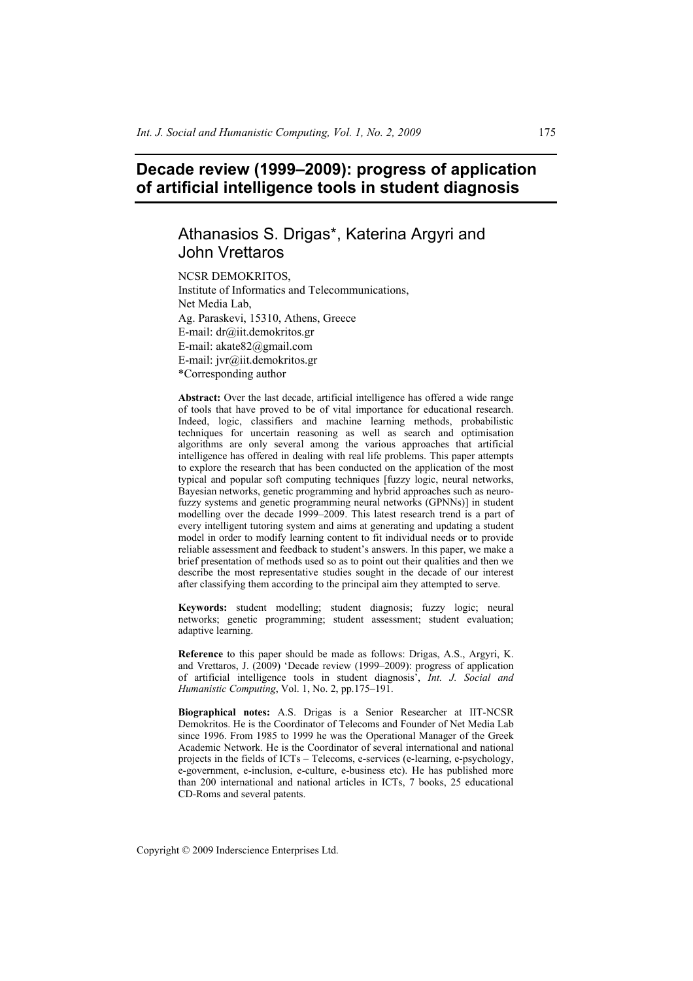# **Decade review (1999–2009): progress of application of artificial intelligence tools in student diagnosis**

# Athanasios S. Drigas\*, Katerina Argyri and John Vrettaros

NCSR DEMOKRITOS, Institute of Informatics and Telecommunications, Net Media Lab, Ag. Paraskevi, 15310, Athens, Greece E-mail: dr@iit.demokritos.gr E-mail: akate82@gmail.com E-mail: jvr@iit.demokritos.gr \*Corresponding author

**Abstract:** Over the last decade, artificial intelligence has offered a wide range of tools that have proved to be of vital importance for educational research. Indeed, logic, classifiers and machine learning methods, probabilistic techniques for uncertain reasoning as well as search and optimisation algorithms are only several among the various approaches that artificial intelligence has offered in dealing with real life problems. This paper attempts to explore the research that has been conducted on the application of the most typical and popular soft computing techniques [fuzzy logic, neural networks, Bayesian networks, genetic programming and hybrid approaches such as neurofuzzy systems and genetic programming neural networks (GPNNs)] in student modelling over the decade 1999–2009. This latest research trend is a part of every intelligent tutoring system and aims at generating and updating a student model in order to modify learning content to fit individual needs or to provide reliable assessment and feedback to student's answers. In this paper, we make a brief presentation of methods used so as to point out their qualities and then we describe the most representative studies sought in the decade of our interest after classifying them according to the principal aim they attempted to serve.

**Keywords:** student modelling; student diagnosis; fuzzy logic; neural networks; genetic programming; student assessment; student evaluation; adaptive learning.

**Reference** to this paper should be made as follows: Drigas, A.S., Argyri, K. and Vrettaros, J. (2009) 'Decade review (1999–2009): progress of application of artificial intelligence tools in student diagnosis', *Int. J. Social and Humanistic Computing*, Vol. 1, No. 2, pp.175–191.

**Biographical notes:** A.S. Drigas is a Senior Researcher at IIT-NCSR Demokritos. He is the Coordinator of Telecoms and Founder of Net Media Lab since 1996. From 1985 to 1999 he was the Operational Manager of the Greek Academic Network. He is the Coordinator of several international and national projects in the fields of ICTs – Telecoms, e-services (e-learning, e-psychology, e-government, e-inclusion, e-culture, e-business etc). He has published more than 200 international and national articles in ICTs, 7 books, 25 educational CD-Roms and several patents.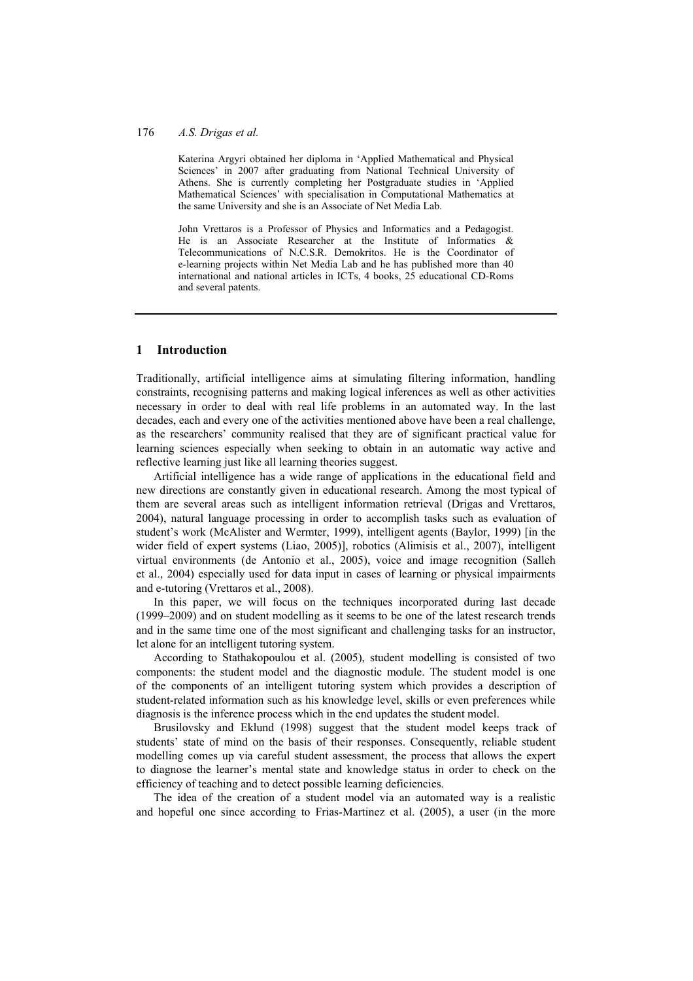Katerina Argyri obtained her diploma in 'Applied Mathematical and Physical Sciences' in 2007 after graduating from National Technical University of Athens. She is currently completing her Postgraduate studies in 'Applied Mathematical Sciences' with specialisation in Computational Mathematics at the same University and she is an Associate of Net Media Lab.

John Vrettaros is a Professor of Physics and Informatics and a Pedagogist. He is an Associate Researcher at the Institute of Informatics  $\&$ Telecommunications of N.C.S.R. Demokritos. He is the Coordinator of e-learning projects within Net Media Lab and he has published more than 40 international and national articles in ICTs, 4 books, 25 educational CD-Roms and several patents.

### **1 Introduction**

Traditionally, artificial intelligence aims at simulating filtering information, handling constraints, recognising patterns and making logical inferences as well as other activities necessary in order to deal with real life problems in an automated way. In the last decades, each and every one of the activities mentioned above have been a real challenge, as the researchers' community realised that they are of significant practical value for learning sciences especially when seeking to obtain in an automatic way active and reflective learning just like all learning theories suggest.

Artificial intelligence has a wide range of applications in the educational field and new directions are constantly given in educational research. Among the most typical of them are several areas such as intelligent information retrieval (Drigas and Vrettaros, 2004), natural language processing in order to accomplish tasks such as evaluation of student's work (McAlister and Wermter, 1999), intelligent agents (Baylor, 1999) [in the wider field of expert systems (Liao, 2005)], robotics (Alimisis et al., 2007), intelligent virtual environments (de Antonio et al., 2005), voice and image recognition (Salleh et al., 2004) especially used for data input in cases of learning or physical impairments and e-tutoring (Vrettaros et al., 2008).

In this paper, we will focus on the techniques incorporated during last decade (1999–2009) and on student modelling as it seems to be one of the latest research trends and in the same time one of the most significant and challenging tasks for an instructor, let alone for an intelligent tutoring system.

According to Stathakopoulou et al. (2005), student modelling is consisted of two components: the student model and the diagnostic module. The student model is one of the components of an intelligent tutoring system which provides a description of student-related information such as his knowledge level, skills or even preferences while diagnosis is the inference process which in the end updates the student model.

Brusilovsky and Eklund (1998) suggest that the student model keeps track of students' state of mind on the basis of their responses. Consequently, reliable student modelling comes up via careful student assessment, the process that allows the expert to diagnose the learner's mental state and knowledge status in order to check on the efficiency of teaching and to detect possible learning deficiencies.

The idea of the creation of a student model via an automated way is a realistic and hopeful one since according to Frias-Martinez et al. (2005), a user (in the more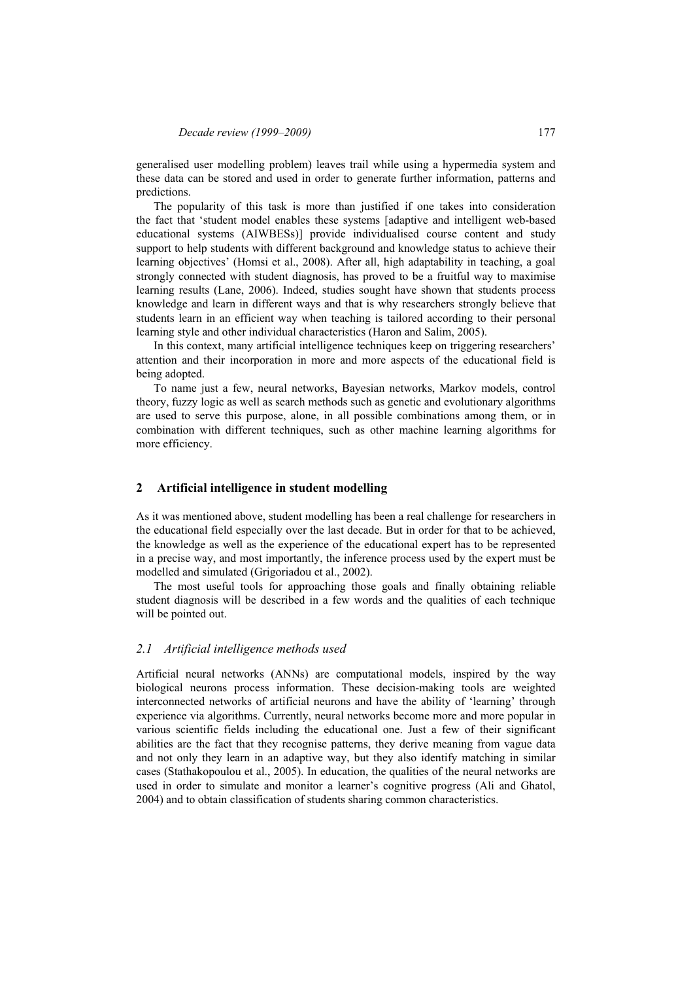generalised user modelling problem) leaves trail while using a hypermedia system and these data can be stored and used in order to generate further information, patterns and predictions.

The popularity of this task is more than justified if one takes into consideration the fact that 'student model enables these systems [adaptive and intelligent web-based educational systems (AIWBESs)] provide individualised course content and study support to help students with different background and knowledge status to achieve their learning objectives' (Homsi et al., 2008). After all, high adaptability in teaching, a goal strongly connected with student diagnosis, has proved to be a fruitful way to maximise learning results (Lane, 2006). Indeed, studies sought have shown that students process knowledge and learn in different ways and that is why researchers strongly believe that students learn in an efficient way when teaching is tailored according to their personal learning style and other individual characteristics (Haron and Salim, 2005).

In this context, many artificial intelligence techniques keep on triggering researchers' attention and their incorporation in more and more aspects of the educational field is being adopted.

To name just a few, neural networks, Bayesian networks, Markov models, control theory, fuzzy logic as well as search methods such as genetic and evolutionary algorithms are used to serve this purpose, alone, in all possible combinations among them, or in combination with different techniques, such as other machine learning algorithms for more efficiency.

#### **2 Artificial intelligence in student modelling**

As it was mentioned above, student modelling has been a real challenge for researchers in the educational field especially over the last decade. But in order for that to be achieved, the knowledge as well as the experience of the educational expert has to be represented in a precise way, and most importantly, the inference process used by the expert must be modelled and simulated (Grigoriadou et al., 2002).

The most useful tools for approaching those goals and finally obtaining reliable student diagnosis will be described in a few words and the qualities of each technique will be pointed out.

#### *2.1 Artificial intelligence methods used*

Artificial neural networks (ANNs) are computational models, inspired by the way biological neurons process information. These decision-making tools are weighted interconnected networks of artificial neurons and have the ability of 'learning' through experience via algorithms. Currently, neural networks become more and more popular in various scientific fields including the educational one. Just a few of their significant abilities are the fact that they recognise patterns, they derive meaning from vague data and not only they learn in an adaptive way, but they also identify matching in similar cases (Stathakopoulou et al., 2005). In education, the qualities of the neural networks are used in order to simulate and monitor a learner's cognitive progress (Ali and Ghatol, 2004) and to obtain classification of students sharing common characteristics.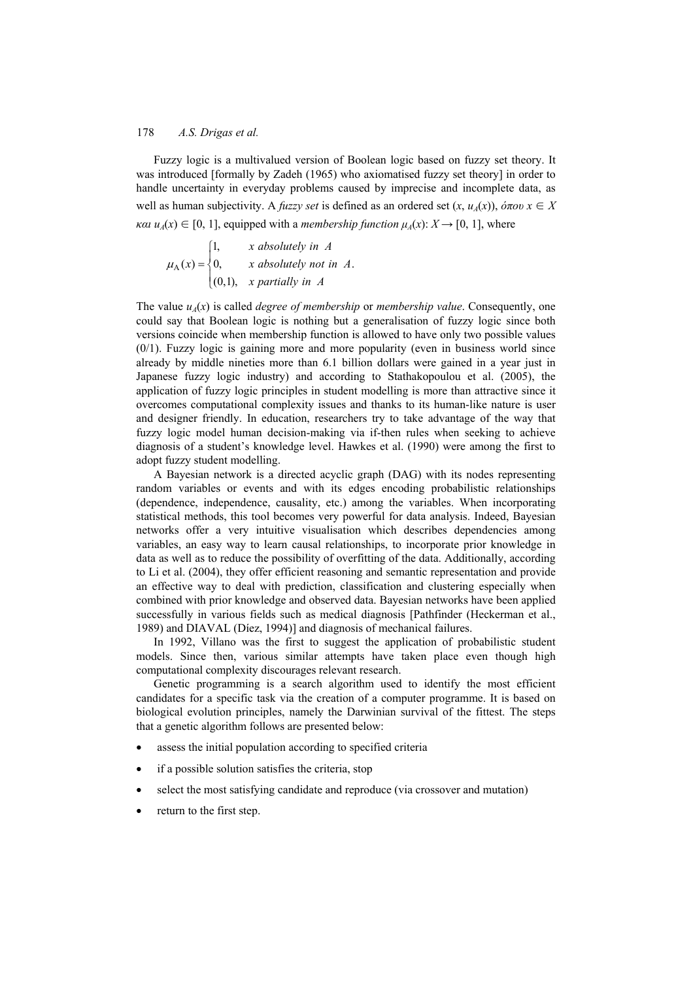Fuzzy logic is a multivalued version of Boolean logic based on fuzzy set theory. It was introduced [formally by Zadeh (1965) who axiomatised fuzzy set theory] in order to handle uncertainty in everyday problems caused by imprecise and incomplete data, as well as human subjectivity. A *fuzzy set* is defined as an ordered set  $(x, u<sub>A</sub>(x))$ ,  $\acute{o}x \circ v \in X$ *και*  $u_A(x) \in [0, 1]$ , equipped with a *membership function*  $\mu_A(x) \colon X \to [0, 1]$ , where

$$
\mu_{A}(x) = \begin{cases} 1, & x \text{ absolutely in } A \\ 0, & x \text{ absolutely not in } A. \\ (0,1), & x \text{ partially in } A \end{cases}
$$

The value  $u<sub>A</sub>(x)$  is called *degree of membership* or *membership value*. Consequently, one could say that Boolean logic is nothing but a generalisation of fuzzy logic since both versions coincide when membership function is allowed to have only two possible values (0/1). Fuzzy logic is gaining more and more popularity (even in business world since already by middle nineties more than 6.1 billion dollars were gained in a year just in Japanese fuzzy logic industry) and according to Stathakopoulou et al. (2005), the application of fuzzy logic principles in student modelling is more than attractive since it overcomes computational complexity issues and thanks to its human-like nature is user and designer friendly. In education, researchers try to take advantage of the way that fuzzy logic model human decision-making via if-then rules when seeking to achieve diagnosis of a student's knowledge level. Hawkes et al. (1990) were among the first to adopt fuzzy student modelling.

A Bayesian network is a directed acyclic graph (DAG) with its nodes representing random variables or events and with its edges encoding probabilistic relationships (dependence, independence, causality, etc.) among the variables. When incorporating statistical methods, this tool becomes very powerful for data analysis. Indeed, Bayesian networks offer a very intuitive visualisation which describes dependencies among variables, an easy way to learn causal relationships, to incorporate prior knowledge in data as well as to reduce the possibility of overfitting of the data. Additionally, according to Li et al. (2004), they offer efficient reasoning and semantic representation and provide an effective way to deal with prediction, classification and clustering especially when combined with prior knowledge and observed data. Bayesian networks have been applied successfully in various fields such as medical diagnosis [Pathfinder (Heckerman et al., 1989) and DIAVAL (Díez, 1994)] and diagnosis of mechanical failures.

In 1992, Villano was the first to suggest the application of probabilistic student models. Since then, various similar attempts have taken place even though high computational complexity discourages relevant research.

Genetic programming is a search algorithm used to identify the most efficient candidates for a specific task via the creation of a computer programme. It is based on biological evolution principles, namely the Darwinian survival of the fittest. The steps that a genetic algorithm follows are presented below:

- assess the initial population according to specified criteria
- if a possible solution satisfies the criteria, stop
- select the most satisfying candidate and reproduce (via crossover and mutation)
- return to the first step.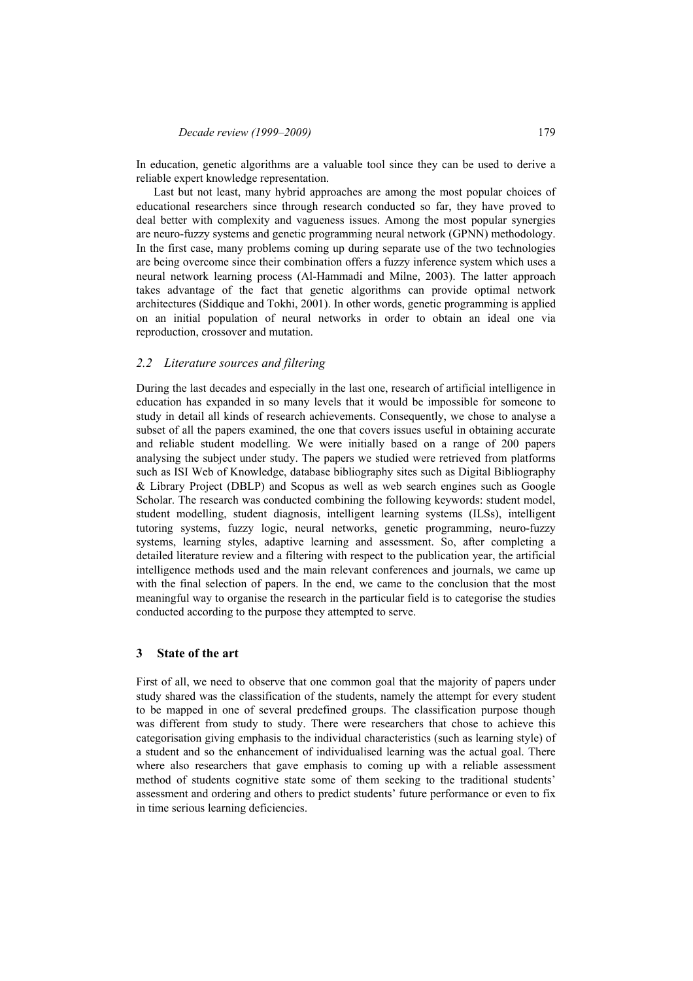In education, genetic algorithms are a valuable tool since they can be used to derive a reliable expert knowledge representation.

Last but not least, many hybrid approaches are among the most popular choices of educational researchers since through research conducted so far, they have proved to deal better with complexity and vagueness issues. Among the most popular synergies are neuro-fuzzy systems and genetic programming neural network (GPNN) methodology. In the first case, many problems coming up during separate use of the two technologies are being overcome since their combination offers a fuzzy inference system which uses a neural network learning process (Al-Hammadi and Milne, 2003). The latter approach takes advantage of the fact that genetic algorithms can provide optimal network architectures (Siddique and Tokhi, 2001). In other words, genetic programming is applied on an initial population of neural networks in order to obtain an ideal one via reproduction, crossover and mutation.

#### *2.2 Literature sources and filtering*

During the last decades and especially in the last one, research of artificial intelligence in education has expanded in so many levels that it would be impossible for someone to study in detail all kinds of research achievements. Consequently, we chose to analyse a subset of all the papers examined, the one that covers issues useful in obtaining accurate and reliable student modelling. We were initially based on a range of 200 papers analysing the subject under study. The papers we studied were retrieved from platforms such as ISI Web of Knowledge, database bibliography sites such as Digital Bibliography & Library Project (DBLP) and Scopus as well as web search engines such as Google Scholar. The research was conducted combining the following keywords: student model, student modelling, student diagnosis, intelligent learning systems (ILSs), intelligent tutoring systems, fuzzy logic, neural networks, genetic programming, neuro-fuzzy systems, learning styles, adaptive learning and assessment. So, after completing a detailed literature review and a filtering with respect to the publication year, the artificial intelligence methods used and the main relevant conferences and journals, we came up with the final selection of papers. In the end, we came to the conclusion that the most meaningful way to organise the research in the particular field is to categorise the studies conducted according to the purpose they attempted to serve.

#### **3 State of the art**

First of all, we need to observe that one common goal that the majority of papers under study shared was the classification of the students, namely the attempt for every student to be mapped in one of several predefined groups. The classification purpose though was different from study to study. There were researchers that chose to achieve this categorisation giving emphasis to the individual characteristics (such as learning style) of a student and so the enhancement of individualised learning was the actual goal. There where also researchers that gave emphasis to coming up with a reliable assessment method of students cognitive state some of them seeking to the traditional students' assessment and ordering and others to predict students' future performance or even to fix in time serious learning deficiencies.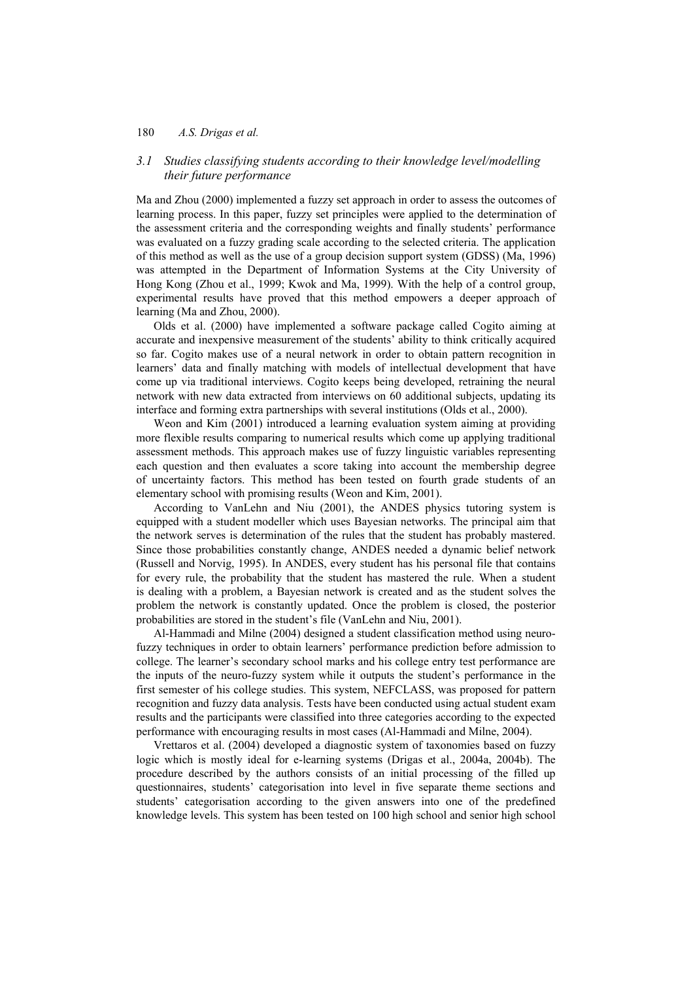#### *3.1 Studies classifying students according to their knowledge level/modelling their future performance*

Ma and Zhou (2000) implemented a fuzzy set approach in order to assess the outcomes of learning process. In this paper, fuzzy set principles were applied to the determination of the assessment criteria and the corresponding weights and finally students' performance was evaluated on a fuzzy grading scale according to the selected criteria. The application of this method as well as the use of a group decision support system (GDSS) (Ma, 1996) was attempted in the Department of Information Systems at the City University of Hong Kong (Zhou et al., 1999; Kwok and Ma, 1999). With the help of a control group, experimental results have proved that this method empowers a deeper approach of learning (Ma and Zhou, 2000).

Olds et al. (2000) have implemented a software package called Cogito aiming at accurate and inexpensive measurement of the students' ability to think critically acquired so far. Cogito makes use of a neural network in order to obtain pattern recognition in learners' data and finally matching with models of intellectual development that have come up via traditional interviews. Cogito keeps being developed, retraining the neural network with new data extracted from interviews on 60 additional subjects, updating its interface and forming extra partnerships with several institutions (Olds et al., 2000).

Weon and Kim (2001) introduced a learning evaluation system aiming at providing more flexible results comparing to numerical results which come up applying traditional assessment methods. This approach makes use of fuzzy linguistic variables representing each question and then evaluates a score taking into account the membership degree of uncertainty factors. This method has been tested on fourth grade students of an elementary school with promising results (Weon and Kim, 2001).

According to VanLehn and Niu (2001), the ANDES physics tutoring system is equipped with a student modeller which uses Bayesian networks. The principal aim that the network serves is determination of the rules that the student has probably mastered. Since those probabilities constantly change, ANDES needed a dynamic belief network (Russell and Norvig, 1995). In ANDES, every student has his personal file that contains for every rule, the probability that the student has mastered the rule. When a student is dealing with a problem, a Bayesian network is created and as the student solves the problem the network is constantly updated. Once the problem is closed, the posterior probabilities are stored in the student's file (VanLehn and Niu, 2001).

Al-Hammadi and Milne (2004) designed a student classification method using neurofuzzy techniques in order to obtain learners' performance prediction before admission to college. The learner's secondary school marks and his college entry test performance are the inputs of the neuro-fuzzy system while it outputs the student's performance in the first semester of his college studies. This system, NEFCLASS, was proposed for pattern recognition and fuzzy data analysis. Tests have been conducted using actual student exam results and the participants were classified into three categories according to the expected performance with encouraging results in most cases (Al-Hammadi and Milne, 2004).

Vrettaros et al. (2004) developed a diagnostic system of taxonomies based on fuzzy logic which is mostly ideal for e-learning systems (Drigas et al., 2004a, 2004b). The procedure described by the authors consists of an initial processing of the filled up questionnaires, students' categorisation into level in five separate theme sections and students' categorisation according to the given answers into one of the predefined knowledge levels. This system has been tested on 100 high school and senior high school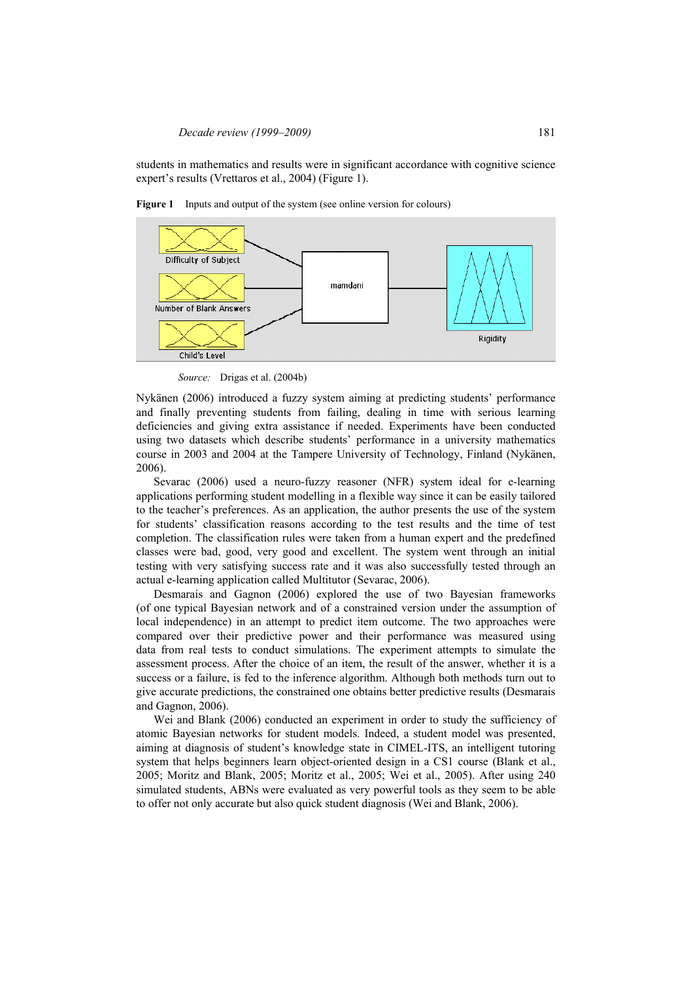students in mathematics and results were in significant accordance with cognitive science expert's results (Vrettaros et al., 2004) (Figure 1).

**Figure 1** Inputs and output of the system (see online version for colours)



*Source:* Drigas et al. (2004b)

Nykänen (2006) introduced a fuzzy system aiming at predicting students' performance and finally preventing students from failing, dealing in time with serious learning deficiencies and giving extra assistance if needed. Experiments have been conducted using two datasets which describe students' performance in a university mathematics course in 2003 and 2004 at the Tampere University of Technology, Finland (Nykänen, 2006).

Sevarac (2006) used a neuro-fuzzy reasoner (NFR) system ideal for e-learning applications performing student modelling in a flexible way since it can be easily tailored to the teacher's preferences. As an application, the author presents the use of the system for students' classification reasons according to the test results and the time of test completion. The classification rules were taken from a human expert and the predefined classes were bad, good, very good and excellent. The system went through an initial testing with very satisfying success rate and it was also successfully tested through an actual e-learning application called Multitutor (Sevarac, 2006).

Desmarais and Gagnon (2006) explored the use of two Bayesian frameworks (of one typical Bayesian network and of a constrained version under the assumption of local independence) in an attempt to predict item outcome. The two approaches were compared over their predictive power and their performance was measured using data from real tests to conduct simulations. The experiment attempts to simulate the assessment process. After the choice of an item, the result of the answer, whether it is a success or a failure, is fed to the inference algorithm. Although both methods turn out to give accurate predictions, the constrained one obtains better predictive results (Desmarais and Gagnon, 2006).

Wei and Blank (2006) conducted an experiment in order to study the sufficiency of atomic Bayesian networks for student models. Indeed, a student model was presented, aiming at diagnosis of student's knowledge state in CIMEL-ITS, an intelligent tutoring system that helps beginners learn object-oriented design in a CS1 course (Blank et al., 2005; Moritz and Blank, 2005; Moritz et al., 2005; Wei et al., 2005). After using 240 simulated students, ABNs were evaluated as very powerful tools as they seem to be able to offer not only accurate but also quick student diagnosis (Wei and Blank, 2006).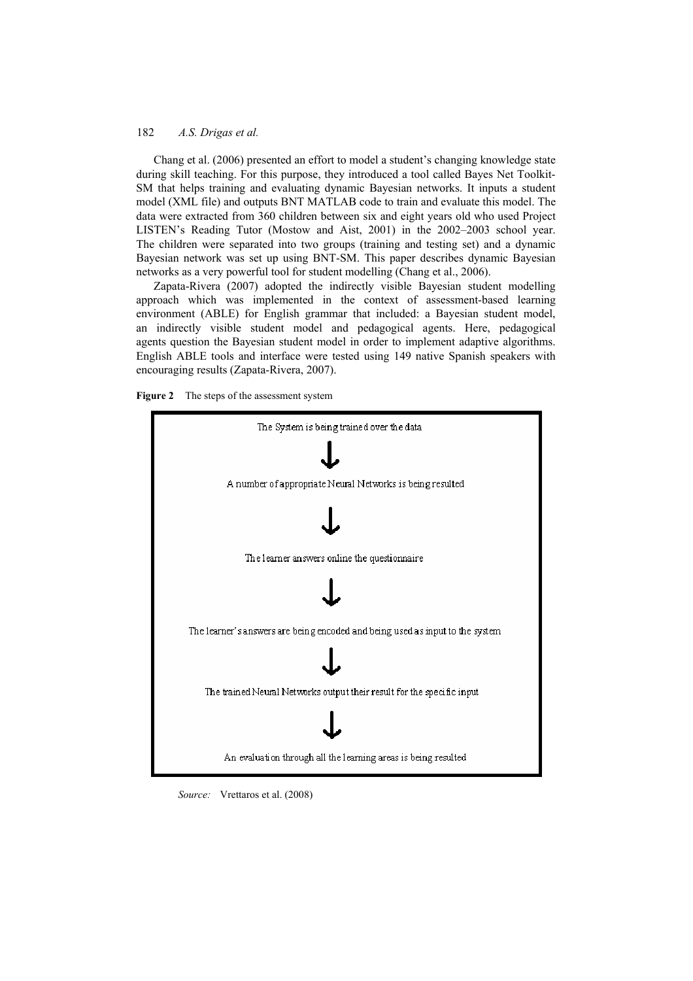Chang et al. (2006) presented an effort to model a student's changing knowledge state during skill teaching. For this purpose, they introduced a tool called Bayes Net Toolkit-SM that helps training and evaluating dynamic Bayesian networks. It inputs a student model (XML file) and outputs BNT MATLAB code to train and evaluate this model. The data were extracted from 360 children between six and eight years old who used Project LISTEN's Reading Tutor (Mostow and Aist, 2001) in the 2002–2003 school year. The children were separated into two groups (training and testing set) and a dynamic Bayesian network was set up using BNT-SM. This paper describes dynamic Bayesian networks as a very powerful tool for student modelling (Chang et al., 2006).

Zapata-Rivera (2007) adopted the indirectly visible Bayesian student modelling approach which was implemented in the context of assessment-based learning environment (ABLE) for English grammar that included: a Bayesian student model, an indirectly visible student model and pedagogical agents. Here, pedagogical agents question the Bayesian student model in order to implement adaptive algorithms. English ABLE tools and interface were tested using 149 native Spanish speakers with encouraging results (Zapata-Rivera, 2007).





*Source:* Vrettaros et al. (2008)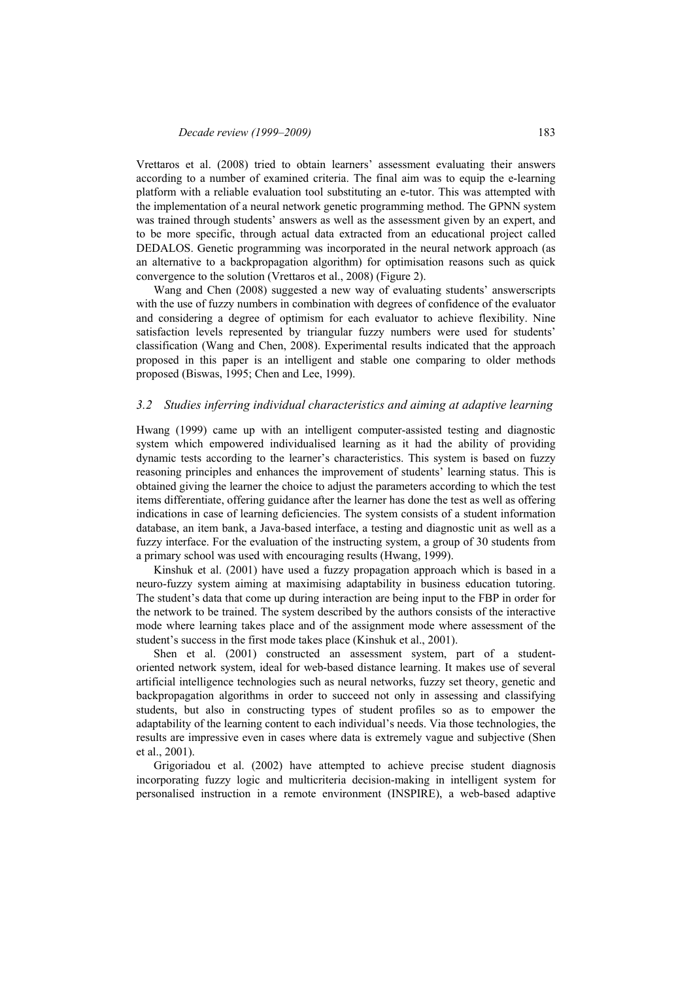Vrettaros et al. (2008) tried to obtain learners' assessment evaluating their answers according to a number of examined criteria. The final aim was to equip the e-learning platform with a reliable evaluation tool substituting an e-tutor. This was attempted with the implementation of a neural network genetic programming method. The GPNN system was trained through students' answers as well as the assessment given by an expert, and to be more specific, through actual data extracted from an educational project called DEDALOS. Genetic programming was incorporated in the neural network approach (as an alternative to a backpropagation algorithm) for optimisation reasons such as quick convergence to the solution (Vrettaros et al., 2008) (Figure 2).

Wang and Chen (2008) suggested a new way of evaluating students' answerscripts with the use of fuzzy numbers in combination with degrees of confidence of the evaluator and considering a degree of optimism for each evaluator to achieve flexibility. Nine satisfaction levels represented by triangular fuzzy numbers were used for students' classification (Wang and Chen, 2008). Experimental results indicated that the approach proposed in this paper is an intelligent and stable one comparing to older methods proposed (Biswas, 1995; Chen and Lee, 1999).

### *3.2 Studies inferring individual characteristics and aiming at adaptive learning*

Hwang (1999) came up with an intelligent computer-assisted testing and diagnostic system which empowered individualised learning as it had the ability of providing dynamic tests according to the learner's characteristics. This system is based on fuzzy reasoning principles and enhances the improvement of students' learning status. This is obtained giving the learner the choice to adjust the parameters according to which the test items differentiate, offering guidance after the learner has done the test as well as offering indications in case of learning deficiencies. The system consists of a student information database, an item bank, a Java-based interface, a testing and diagnostic unit as well as a fuzzy interface. For the evaluation of the instructing system, a group of 30 students from a primary school was used with encouraging results (Hwang, 1999).

Kinshuk et al. (2001) have used a fuzzy propagation approach which is based in a neuro-fuzzy system aiming at maximising adaptability in business education tutoring. The student's data that come up during interaction are being input to the FBP in order for the network to be trained. The system described by the authors consists of the interactive mode where learning takes place and of the assignment mode where assessment of the student's success in the first mode takes place (Kinshuk et al., 2001).

Shen et al. (2001) constructed an assessment system, part of a studentoriented network system, ideal for web-based distance learning. It makes use of several artificial intelligence technologies such as neural networks, fuzzy set theory, genetic and backpropagation algorithms in order to succeed not only in assessing and classifying students, but also in constructing types of student profiles so as to empower the adaptability of the learning content to each individual's needs. Via those technologies, the results are impressive even in cases where data is extremely vague and subjective (Shen et al., 2001).

Grigoriadou et al. (2002) have attempted to achieve precise student diagnosis incorporating fuzzy logic and multicriteria decision-making in intelligent system for personalised instruction in a remote environment (INSPIRE), a web-based adaptive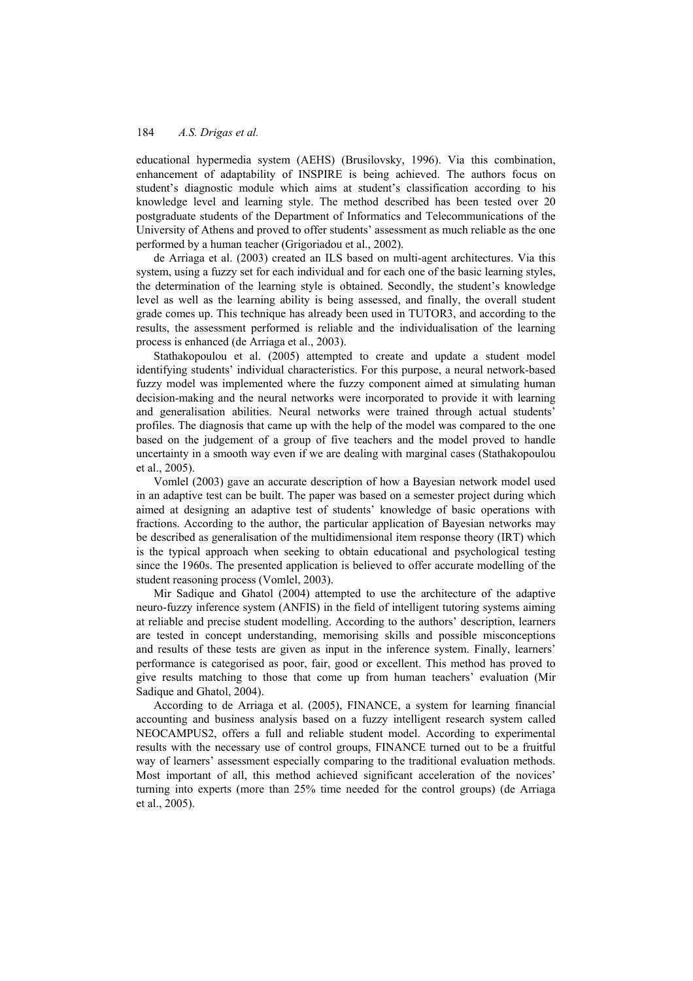educational hypermedia system (AEHS) (Brusilovsky, 1996). Via this combination, enhancement of adaptability of INSPIRE is being achieved. The authors focus on student's diagnostic module which aims at student's classification according to his knowledge level and learning style. The method described has been tested over 20 postgraduate students of the Department of Informatics and Telecommunications of the University of Athens and proved to offer students' assessment as much reliable as the one performed by a human teacher (Grigoriadou et al., 2002).

de Arriaga et al. (2003) created an ILS based on multi-agent architectures. Via this system, using a fuzzy set for each individual and for each one of the basic learning styles, the determination of the learning style is obtained. Secondly, the student's knowledge level as well as the learning ability is being assessed, and finally, the overall student grade comes up. This technique has already been used in TUTOR3, and according to the results, the assessment performed is reliable and the individualisation of the learning process is enhanced (de Arriaga et al., 2003).

Stathakopoulou et al. (2005) attempted to create and update a student model identifying students' individual characteristics. For this purpose, a neural network-based fuzzy model was implemented where the fuzzy component aimed at simulating human decision-making and the neural networks were incorporated to provide it with learning and generalisation abilities. Neural networks were trained through actual students' profiles. The diagnosis that came up with the help of the model was compared to the one based on the judgement of a group of five teachers and the model proved to handle uncertainty in a smooth way even if we are dealing with marginal cases (Stathakopoulou et al., 2005).

Vomlel (2003) gave an accurate description of how a Bayesian network model used in an adaptive test can be built. The paper was based on a semester project during which aimed at designing an adaptive test of students' knowledge of basic operations with fractions. According to the author, the particular application of Bayesian networks may be described as generalisation of the multidimensional item response theory (IRT) which is the typical approach when seeking to obtain educational and psychological testing since the 1960s. The presented application is believed to offer accurate modelling of the student reasoning process (Vomlel, 2003).

Mir Sadique and Ghatol (2004) attempted to use the architecture of the adaptive neuro-fuzzy inference system (ANFIS) in the field of intelligent tutoring systems aiming at reliable and precise student modelling. According to the authors' description, learners are tested in concept understanding, memorising skills and possible misconceptions and results of these tests are given as input in the inference system. Finally, learners' performance is categorised as poor, fair, good or excellent. This method has proved to give results matching to those that come up from human teachers' evaluation (Mir Sadique and Ghatol, 2004).

According to de Arriaga et al. (2005), FINANCE, a system for learning financial accounting and business analysis based on a fuzzy intelligent research system called NEOCAMPUS2, offers a full and reliable student model. According to experimental results with the necessary use of control groups, FINANCE turned out to be a fruitful way of learners' assessment especially comparing to the traditional evaluation methods. Most important of all, this method achieved significant acceleration of the novices' turning into experts (more than 25% time needed for the control groups) (de Arriaga et al., 2005).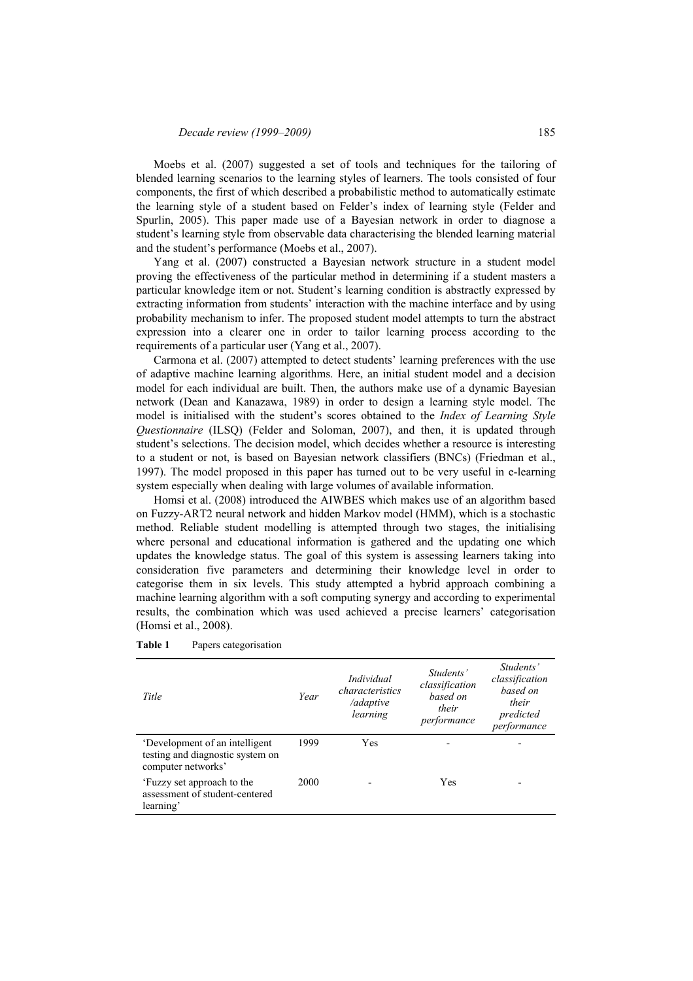Moebs et al. (2007) suggested a set of tools and techniques for the tailoring of blended learning scenarios to the learning styles of learners. The tools consisted of four components, the first of which described a probabilistic method to automatically estimate the learning style of a student based on Felder's index of learning style (Felder and Spurlin, 2005). This paper made use of a Bayesian network in order to diagnose a student's learning style from observable data characterising the blended learning material and the student's performance (Moebs et al., 2007).

Yang et al. (2007) constructed a Bayesian network structure in a student model proving the effectiveness of the particular method in determining if a student masters a particular knowledge item or not. Student's learning condition is abstractly expressed by extracting information from students' interaction with the machine interface and by using probability mechanism to infer. The proposed student model attempts to turn the abstract expression into a clearer one in order to tailor learning process according to the requirements of a particular user (Yang et al., 2007).

Carmona et al. (2007) attempted to detect students' learning preferences with the use of adaptive machine learning algorithms. Here, an initial student model and a decision model for each individual are built. Then, the authors make use of a dynamic Bayesian network (Dean and Kanazawa, 1989) in order to design a learning style model. The model is initialised with the student's scores obtained to the *Index of Learning Style Questionnaire* (ILSQ) (Felder and Soloman, 2007), and then, it is updated through student's selections. The decision model, which decides whether a resource is interesting to a student or not, is based on Bayesian network classifiers (BNCs) (Friedman et al., 1997). The model proposed in this paper has turned out to be very useful in e-learning system especially when dealing with large volumes of available information.

Homsi et al. (2008) introduced the AIWBES which makes use of an algorithm based on Fuzzy-ART2 neural network and hidden Markov model (HMM), which is a stochastic method. Reliable student modelling is attempted through two stages, the initialising where personal and educational information is gathered and the updating one which updates the knowledge status. The goal of this system is assessing learners taking into consideration five parameters and determining their knowledge level in order to categorise them in six levels. This study attempted a hybrid approach combining a machine learning algorithm with a soft computing synergy and according to experimental results, the combination which was used achieved a precise learners' categorisation (Homsi et al., 2008).

| Title                                                                                   | Year | <i>Individual</i><br><i>characteristics</i><br>/adaptive<br>learning | Students'<br>classification<br>based on<br>their<br>performance | Students'<br>classification<br>based on<br>their<br>predicted<br>performance |
|-----------------------------------------------------------------------------------------|------|----------------------------------------------------------------------|-----------------------------------------------------------------|------------------------------------------------------------------------------|
| Development of an intelligent<br>testing and diagnostic system on<br>computer networks' | 1999 | Yes                                                                  |                                                                 |                                                                              |
| 'Fuzzy set approach to the<br>assessment of student-centered<br>learning'               | 2000 |                                                                      | Yes                                                             |                                                                              |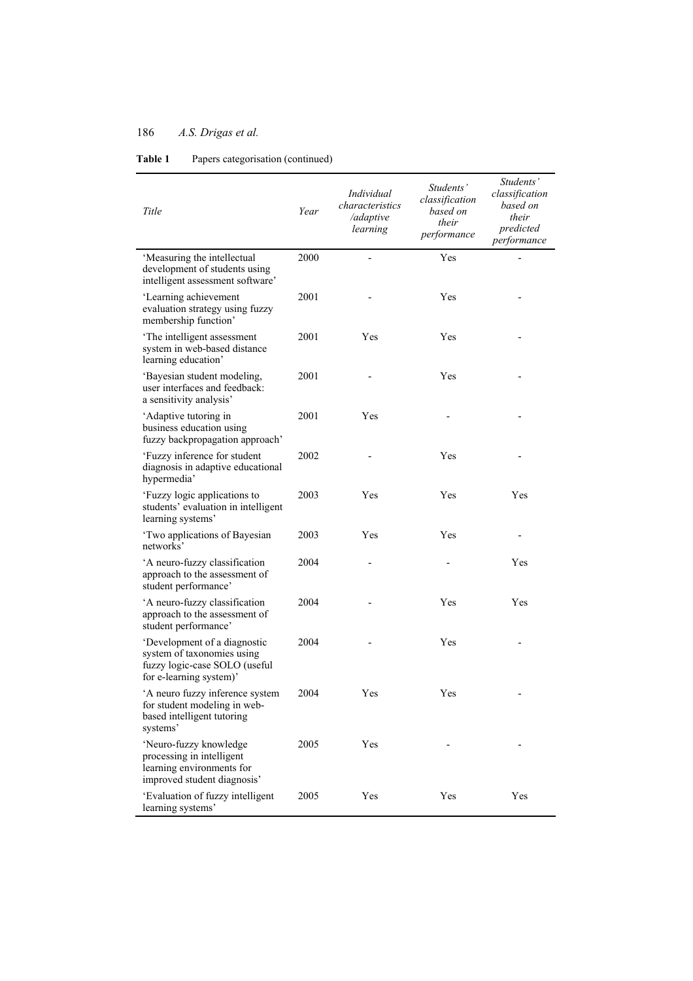## **Table 1** Papers categorisation (continued)

| Title                                                                                                                 | Year | Individual<br>characteristics<br>/adaptive<br>learning | Students'<br>classification<br>based on<br>their<br>performance | Students'<br>classification<br>based on<br>their<br>predicted<br>performance |
|-----------------------------------------------------------------------------------------------------------------------|------|--------------------------------------------------------|-----------------------------------------------------------------|------------------------------------------------------------------------------|
| 'Measuring the intellectual<br>development of students using<br>intelligent assessment software'                      | 2000 |                                                        | Yes                                                             |                                                                              |
| 'Learning achievement<br>evaluation strategy using fuzzy<br>membership function'                                      | 2001 |                                                        | Yes                                                             |                                                                              |
| The intelligent assessment<br>system in web-based distance<br>learning education'                                     | 2001 | Yes                                                    | Yes                                                             |                                                                              |
| 'Bayesian student modeling,<br>user interfaces and feedback:<br>a sensitivity analysis'                               | 2001 |                                                        | Yes                                                             |                                                                              |
| 'Adaptive tutoring in<br>business education using<br>fuzzy backpropagation approach'                                  | 2001 | Yes                                                    |                                                                 |                                                                              |
| 'Fuzzy inference for student<br>diagnosis in adaptive educational<br>hypermedia'                                      | 2002 |                                                        | Yes                                                             |                                                                              |
| 'Fuzzy logic applications to<br>students' evaluation in intelligent<br>learning systems'                              | 2003 | Yes                                                    | Yes                                                             | Yes                                                                          |
| 'Two applications of Bayesian<br>networks'                                                                            | 2003 | Yes                                                    | Yes                                                             |                                                                              |
| 'A neuro-fuzzy classification<br>approach to the assessment of<br>student performance'                                | 2004 |                                                        |                                                                 | Yes                                                                          |
| 'A neuro-fuzzy classification<br>approach to the assessment of<br>student performance'                                | 2004 |                                                        | Yes                                                             | Yes                                                                          |
| Development of a diagnostic<br>system of taxonomies using<br>fuzzy logic-case SOLO (useful<br>for e-learning system)' | 2004 |                                                        | Yes                                                             |                                                                              |
| 'A neuro fuzzy inference system<br>for student modeling in web-<br>based intelligent tutoring<br>systems'             | 2004 | Yes                                                    | Yes                                                             |                                                                              |
| 'Neuro-fuzzy knowledge<br>processing in intelligent<br>learning environments for<br>improved student diagnosis'       | 2005 | Yes                                                    |                                                                 |                                                                              |
| 'Evaluation of fuzzy intelligent<br>learning systems'                                                                 | 2005 | Yes                                                    | Yes                                                             | Yes                                                                          |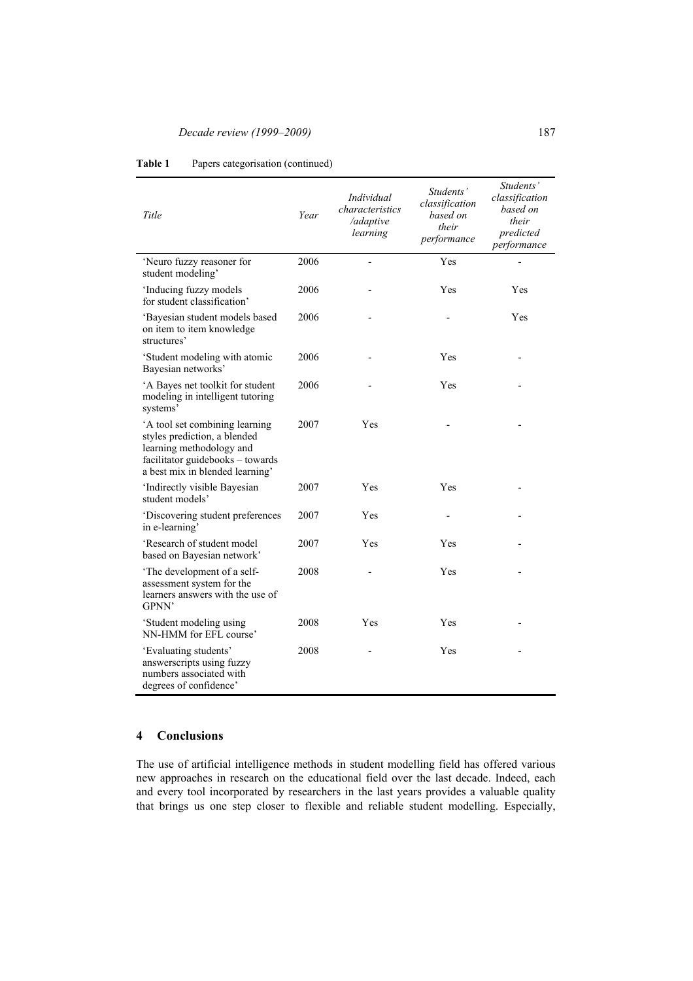## *Decade review (1999–2009)* 187

| Table 1 |  | Papers categorisation (continued) |  |
|---------|--|-----------------------------------|--|
|---------|--|-----------------------------------|--|

| Title                                                                                                                                                             | Year | Individual<br>characteristics<br>/adaptive<br>learning | Students'<br>classification<br>based on<br>their<br>performance | Students'<br>classification<br>based on<br>their<br>predicted<br>performance |
|-------------------------------------------------------------------------------------------------------------------------------------------------------------------|------|--------------------------------------------------------|-----------------------------------------------------------------|------------------------------------------------------------------------------|
| 'Neuro fuzzy reasoner for<br>student modeling'                                                                                                                    | 2006 |                                                        | Yes                                                             |                                                                              |
| 'Inducing fuzzy models<br>for student classification'                                                                                                             | 2006 |                                                        | Yes                                                             | Yes                                                                          |
| 'Bayesian student models based<br>on item to item knowledge<br>structures'                                                                                        | 2006 |                                                        |                                                                 | Yes                                                                          |
| 'Student modeling with atomic<br>Bayesian networks'                                                                                                               | 2006 |                                                        | Yes                                                             |                                                                              |
| 'A Bayes net toolkit for student<br>modeling in intelligent tutoring<br>systems'                                                                                  | 2006 |                                                        | Yes                                                             |                                                                              |
| 'A tool set combining learning<br>styles prediction, a blended<br>learning methodology and<br>facilitator guidebooks - towards<br>a best mix in blended learning' | 2007 | Yes                                                    |                                                                 |                                                                              |
| 'Indirectly visible Bayesian<br>student models'                                                                                                                   | 2007 | Yes                                                    | Yes                                                             |                                                                              |
| 'Discovering student preferences<br>in e-learning'                                                                                                                | 2007 | Yes                                                    |                                                                 |                                                                              |
| 'Research of student model<br>based on Bayesian network'                                                                                                          | 2007 | Yes                                                    | Yes                                                             |                                                                              |
| 'The development of a self-<br>assessment system for the<br>learners answers with the use of<br>GPNN'                                                             | 2008 |                                                        | Yes                                                             |                                                                              |
| 'Student modeling using<br>NN-HMM for EFL course'                                                                                                                 | 2008 | Yes                                                    | Yes                                                             |                                                                              |
| 'Evaluating students'<br>answerscripts using fuzzy<br>numbers associated with<br>degrees of confidence'                                                           | 2008 |                                                        | Yes                                                             |                                                                              |

## **4 Conclusions**

The use of artificial intelligence methods in student modelling field has offered various new approaches in research on the educational field over the last decade. Indeed, each and every tool incorporated by researchers in the last years provides a valuable quality that brings us one step closer to flexible and reliable student modelling. Especially,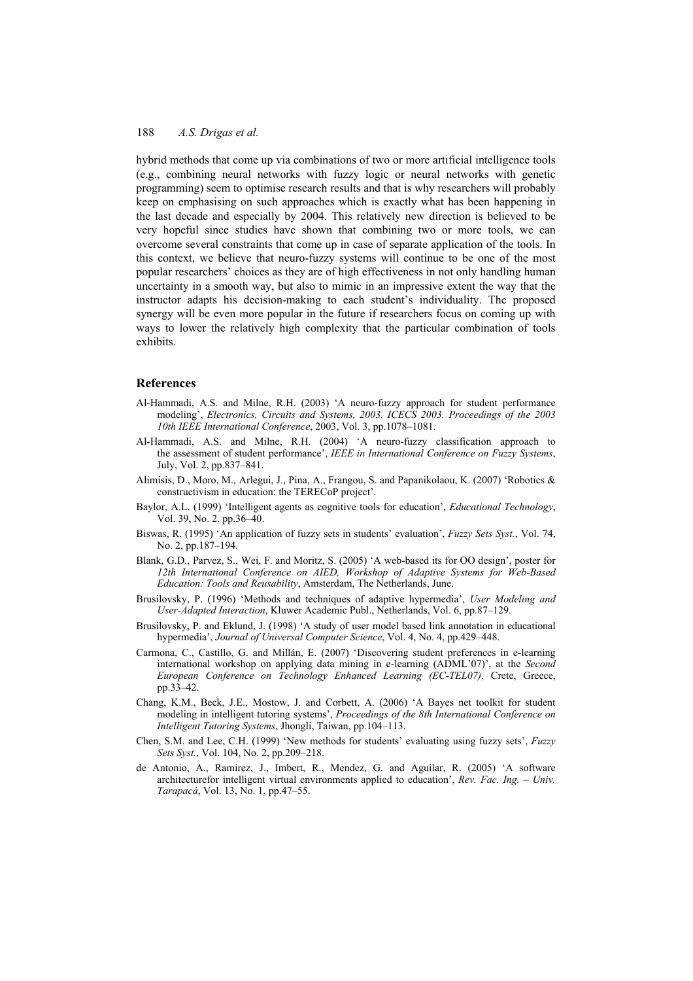hybrid methods that come up via combinations of two or more artificial intelligence tools (e.g., combining neural networks with fuzzy logic or neural networks with genetic programming) seem to optimise research results and that is why researchers will probably keep on emphasising on such approaches which is exactly what has been happening in the last decade and especially by 2004. This relatively new direction is believed to be very hopeful since studies have shown that combining two or more tools, we can overcome several constraints that come up in case of separate application of the tools. In this context, we believe that neuro-fuzzy systems will continue to be one of the most popular researchers' choices as they are of high effectiveness in not only handling human uncertainty in a smooth way, but also to mimic in an impressive extent the way that the instructor adapts his decision-making to each student's individuality. The proposed synergy will be even more popular in the future if researchers focus on coming up with ways to lower the relatively high complexity that the particular combination of tools exhibits.

#### **References**

- Al-Hammadi, A.S. and Milne, R.H. (2003) 'A neuro-fuzzy approach for student performance modeling', *Electronics, Circuits and Systems, 2003. ICECS 2003. Proceedings of the 2003 10th IEEE International Conference*, 2003, Vol. 3, pp.1078–1081.
- Al-Hammadi, A.S. and Milne, R.H. (2004) 'A neuro-fuzzy classification approach to the assessment of student performance', *IEEE in International Conference on Fuzzy Systems*, July, Vol. 2, pp.837–841.
- Alimisis, D., Moro, M., Arlegui, J., Pina, A., Frangou, S. and Papanikolaou, K. (2007) 'Robotics & constructivism in education: the TERECoP project'.
- Baylor, A.L. (1999) 'Intelligent agents as cognitive tools for education', *Educational Technology*, Vol. 39, No. 2, pp.36–40.
- Biswas, R. (1995) 'An application of fuzzy sets in students' evaluation', *Fuzzy Sets Syst.*, Vol. 74, No. 2, pp.187–194.
- Blank, G.D., Parvez, S., Wei, F. and Moritz, S. (2005) 'A web-based its for OO design', poster for *12th International Conference on AIED, Workshop of Adaptive Systems for Web-Based Education: Tools and Reusability*, Amsterdam, The Netherlands, June.
- Brusilovsky, P. (1996) 'Methods and techniques of adaptive hypermedia', *User Modeling and User-Adapted Interaction*, Kluwer Academic Publ., Netherlands, Vol. 6, pp.87–129.
- Brusilovsky, P. and Eklund, J. (1998) 'A study of user model based link annotation in educational hypermedia', *Journal of Universal Computer Science*, Vol. 4, No. 4, pp.429–448.
- Carmona, C., Castillo, G. and Millán, E. (2007) 'Discovering student preferences in e-learning international workshop on applying data mining in e-learning (ADML'07)', at the *Second European Conference on Technology Enhanced Learning (EC-TEL07)*, Crete, Greece, pp.33–42.
- Chang, K.M., Beck, J.E., Mostow, J. and Corbett, A. (2006) 'A Bayes net toolkit for student modeling in intelligent tutoring systems', *Proceedings of the 8th International Conference on Intelligent Tutoring Systems*, Jhongli, Taiwan, pp.104–113.
- Chen, S.M. and Lee, C.H. (1999) 'New methods for students' evaluating using fuzzy sets', *Fuzzy Sets Syst.*, Vol. 104, No. 2, pp.209–218.
- de Antonio, A., Ramirez, J., Imbert, R., Mendez, G. and Aguilar, R. (2005) 'A software architecturefor intelligent virtual environments applied to education', *Rev. Fac. Ing. – Univ. Tarapacá*, Vol. 13, No. 1, pp.47–55.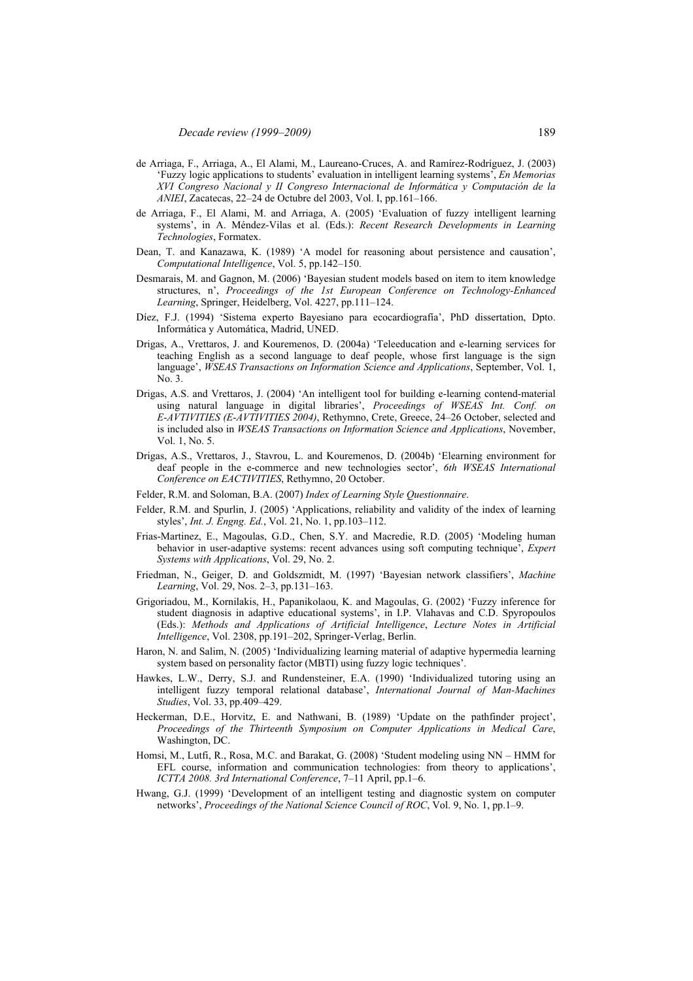- de Arriaga, F., Arriaga, A., El Alami, M., Laureano-Cruces, A. and Ramírez-Rodríguez, J. (2003) 'Fuzzy logic applications to students' evaluation in intelligent learning systems', *En Memorias XVI Congreso Nacional y II Congreso Internacional de Informática y Computación de la ANIEI*, Zacatecas, 22–24 de Octubre del 2003, Vol. I, pp.161–166.
- de Arriaga, F., El Alami, M. and Arriaga, A. (2005) 'Evaluation of fuzzy intelligent learning systems', in A. Méndez-Vilas et al. (Eds.): *Recent Research Developments in Learning Technologies*, Formatex.
- Dean, T. and Kanazawa, K. (1989) 'A model for reasoning about persistence and causation', *Computational Intelligence*, Vol. 5, pp.142–150.
- Desmarais, M. and Gagnon, M. (2006) 'Bayesian student models based on item to item knowledge structures, n', *Proceedings of the 1st European Conference on Technology-Enhanced Learning*, Springer, Heidelberg, Vol. 4227, pp.111–124.
- Díez, F.J. (1994) 'Sistema experto Bayesiano para ecocardiografía', PhD dissertation, Dpto. Informática y Automática, Madrid, UNED.
- Drigas, A., Vrettaros, J. and Kouremenos, D. (2004a) 'Teleeducation and e-learning services for teaching English as a second language to deaf people, whose first language is the sign language', *WSEAS Transactions on Information Science and Applications*, September, Vol. 1,  $No. 3.$
- Drigas, A.S. and Vrettaros, J. (2004) 'An intelligent tool for building e-learning contend-material using natural language in digital libraries', *Proceedings of WSEAS Int. Conf. on E-AVTIVITIES (E-AVTIVITIES 2004)*, Rethymno, Crete, Greece, 24–26 October, selected and is included also in *WSEAS Transactions on Information Science and Applications*, November, Vol. 1, No. 5.
- Drigas, A.S., Vrettaros, J., Stavrou, L. and Kouremenos, D. (2004b) 'Elearning environment for deaf people in the e-commerce and new technologies sector', *6th WSEAS International Conference on EACTIVITIES*, Rethymno, 20 October.
- Felder, R.M. and Soloman, B.A. (2007) *Index of Learning Style Questionnaire*.
- Felder, R.M. and Spurlin, J. (2005) 'Applications, reliability and validity of the index of learning styles', *Int. J. Engng. Ed.*, Vol. 21, No. 1, pp.103–112.
- Frias-Martinez, E., Magoulas, G.D., Chen, S.Y. and Macredie, R.D. (2005) 'Modeling human behavior in user-adaptive systems: recent advances using soft computing technique', *Expert Systems with Applications*, Vol. 29, No. 2.
- Friedman, N., Geiger, D. and Goldszmidt, M. (1997) 'Bayesian network classifiers', *Machine Learning*, Vol. 29, Nos. 2–3, pp.131–163.
- Grigoriadou, M., Kornilakis, H., Papanikolaou, K. and Magoulas, G. (2002) 'Fuzzy inference for student diagnosis in adaptive educational systems', in I.P. Vlahavas and C.D. Spyropoulos (Eds.): *Methods and Applications of Artificial Intelligence*, *Lecture Notes in Artificial Intelligence*, Vol. 2308, pp.191–202, Springer-Verlag, Berlin.
- Haron, N. and Salim, N. (2005) 'Individualizing learning material of adaptive hypermedia learning system based on personality factor (MBTI) using fuzzy logic techniques'.
- Hawkes, L.W., Derry, S.J. and Rundensteiner, E.A. (1990) 'Individualized tutoring using an intelligent fuzzy temporal relational database', *International Journal of Man-Machines Studies*, Vol. 33, pp.409–429.
- Heckerman, D.E., Horvitz, E. and Nathwani, B. (1989) 'Update on the pathfinder project', *Proceedings of the Thirteenth Symposium on Computer Applications in Medical Care*, Washington, DC.
- Homsi, M., Lutfi, R., Rosa, M.C. and Barakat, G. (2008) 'Student modeling using NN HMM for EFL course, information and communication technologies: from theory to applications', *ICTTA 2008. 3rd International Conference*, 7–11 April, pp.1–6.
- Hwang, G.J. (1999) 'Development of an intelligent testing and diagnostic system on computer networks', *Proceedings of the National Science Council of ROC*, Vol. 9, No. 1, pp.1–9.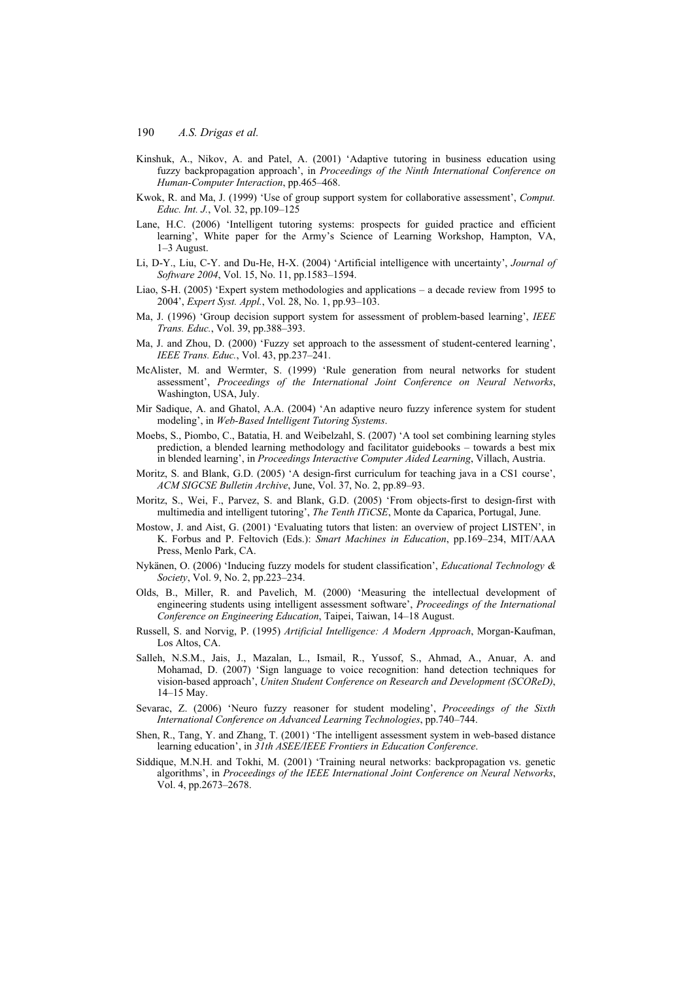- Kinshuk, A., Nikov, A. and Patel, A. (2001) 'Adaptive tutoring in business education using fuzzy backpropagation approach', in *Proceedings of the Ninth International Conference on Human-Computer Interaction*, pp.465–468.
- Kwok, R. and Ma, J. (1999) 'Use of group support system for collaborative assessment', *Comput. Educ. Int. J.*, Vol. 32, pp.109–125
- Lane, H.C. (2006) 'Intelligent tutoring systems: prospects for guided practice and efficient learning', White paper for the Army's Science of Learning Workshop, Hampton, VA, 1–3 August.
- Li, D-Y., Liu, C-Y. and Du-He, H-X. (2004) 'Artificial intelligence with uncertainty', *Journal of Software 2004*, Vol. 15, No. 11, pp.1583–1594.
- Liao, S-H. (2005) 'Expert system methodologies and applications a decade review from 1995 to 2004', *Expert Syst. Appl.*, Vol. 28, No. 1, pp.93–103.
- Ma, J. (1996) 'Group decision support system for assessment of problem-based learning', *IEEE Trans. Educ.*, Vol. 39, pp.388–393.
- Ma, J. and Zhou, D. (2000) 'Fuzzy set approach to the assessment of student-centered learning', *IEEE Trans. Educ.*, Vol. 43, pp.237–241.
- McAlister, M. and Wermter, S. (1999) 'Rule generation from neural networks for student assessment', *Proceedings of the International Joint Conference on Neural Networks*, Washington, USA, July.
- Mir Sadique, A. and Ghatol, A.A. (2004) 'An adaptive neuro fuzzy inference system for student modeling', in *Web-Based Intelligent Tutoring Systems*.
- Moebs, S., Piombo, C., Batatia, H. and Weibelzahl, S. (2007) 'A tool set combining learning styles prediction, a blended learning methodology and facilitator guidebooks – towards a best mix in blended learning', in *Proceedings Interactive Computer Aided Learning*, Villach, Austria.
- Moritz, S. and Blank, G.D. (2005) 'A design-first curriculum for teaching java in a CS1 course', *ACM SIGCSE Bulletin Archive*, June, Vol. 37, No. 2, pp.89–93.
- Moritz, S., Wei, F., Parvez, S. and Blank, G.D. (2005) 'From objects-first to design-first with multimedia and intelligent tutoring', *The Tenth ITiCSE*, Monte da Caparica, Portugal, June.
- Mostow, J. and Aist, G. (2001) 'Evaluating tutors that listen: an overview of project LISTEN', in K. Forbus and P. Feltovich (Eds.): *Smart Machines in Education*, pp.169–234, MIT/AAA Press, Menlo Park, CA.
- Nykänen, O. (2006) 'Inducing fuzzy models for student classification', *Educational Technology & Society*, Vol. 9, No. 2, pp.223–234.
- Olds, B., Miller, R. and Pavelich, M. (2000) 'Measuring the intellectual development of engineering students using intelligent assessment software', *Proceedings of the International Conference on Engineering Education*, Taipei, Taiwan, 14–18 August.
- Russell, S. and Norvig, P. (1995) *Artificial Intelligence: A Modern Approach*, Morgan-Kaufman, Los Altos, CA.
- Salleh, N.S.M., Jais, J., Mazalan, L., Ismail, R., Yussof, S., Ahmad, A., Anuar, A. and Mohamad, D. (2007) 'Sign language to voice recognition: hand detection techniques for vision-based approach', *Uniten Student Conference on Research and Development (SCOReD)*, 14–15 May.
- Sevarac, Z. (2006) 'Neuro fuzzy reasoner for student modeling', *Proceedings of the Sixth International Conference on Advanced Learning Technologies*, pp.740–744.
- Shen, R., Tang, Y. and Zhang, T. (2001) 'The intelligent assessment system in web-based distance learning education', in *31th ASEE/IEEE Frontiers in Education Conference*.
- Siddique, M.N.H. and Tokhi, M. (2001) 'Training neural networks: backpropagation vs. genetic algorithms', in *Proceedings of the IEEE International Joint Conference on Neural Networks*, Vol. 4, pp.2673–2678.